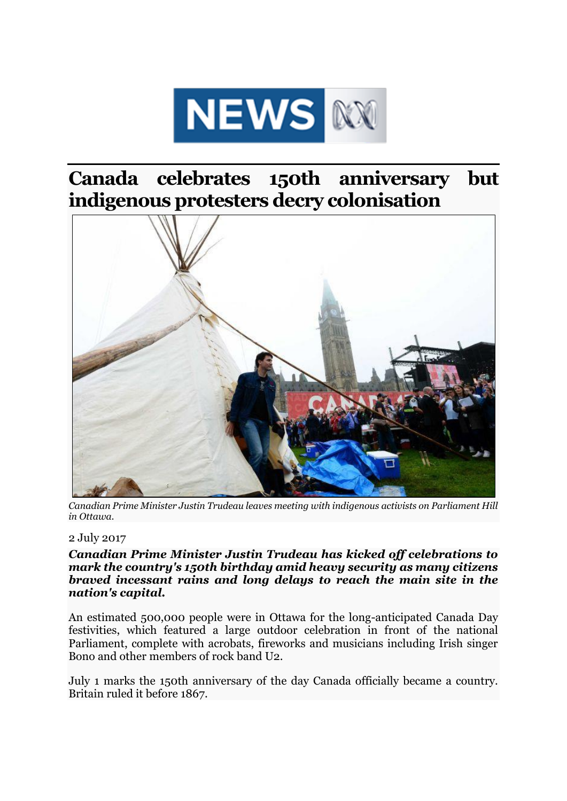

## **Canada celebrates 150th anniversary but indigenous protesters decry colonisation**



*Canadian Prime Minister Justin Trudeau leaves meeting with indigenous activists on Parliament Hill in Ottawa.*

## 2 July 2017

## *Canadian Prime Minister Justin Trudeau has kicked off celebrations to mark the country's 150th birthday amid heavy security as many citizens braved incessant rains and long delays to reach the main site in the nation's capital.*

An estimated 500,000 people were in Ottawa for the long-anticipated Canada Day festivities, which featured a large outdoor celebration in front of the national Parliament, complete with acrobats, fireworks and musicians including Irish singer Bono and other members of rock band U2.

July 1 marks the 150th anniversary of the day Canada officially became a country. Britain ruled it before 1867.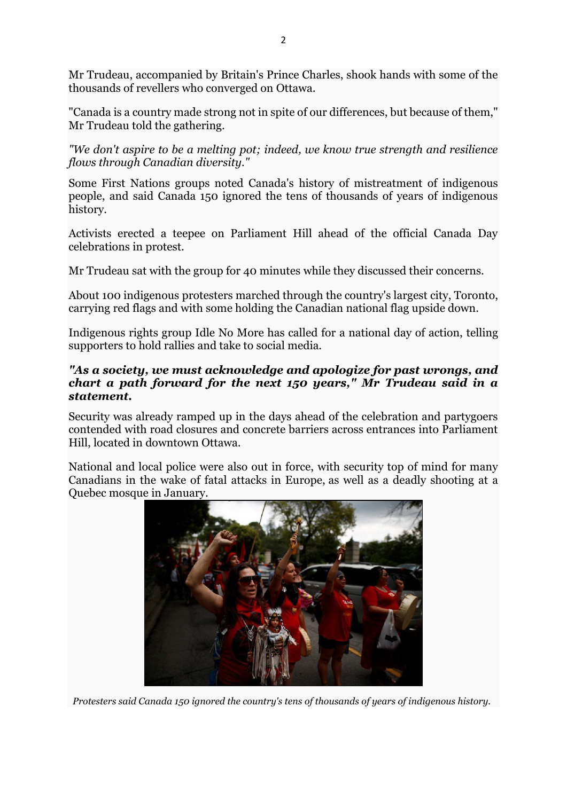Mr Trudeau, accompanied by Britain's Prince Charles, shook hands with some of the thousands of revellers who converged on Ottawa.

"Canada is a country made strong not in spite of our differences, but because of them," Mr Trudeau told the gathering.

*"We don't aspire to be a melting pot; indeed, we know true strength and resilience flows through Canadian diversity."*

Some First Nations groups noted Canada's history of mistreatment of indigenous people, and said Canada 150 ignored the tens of thousands of years of indigenous history.

Activists erected a teepee on Parliament Hill ahead of the official Canada Day celebrations in protest.

Mr Trudeau sat with the group for 40 minutes while they discussed their concerns.

About 100 indigenous protesters marched through the country's largest city, Toronto, carrying red flags and with some holding the Canadian national flag upside down.

Indigenous rights group Idle No More has called for a national day of action, telling supporters to hold rallies and take to social media.

## *"As a society, we must acknowledge and apologize for past wrongs, and chart a path forward for the next 150 years," Mr Trudeau said in a statement.*

Security was already ramped up in the days ahead of the celebration and partygoers contended with road closures and concrete barriers across entrances into Parliament Hill, located in downtown Ottawa.

National and local police were also out in force, with security top of mind for many Canadians in the wake of fatal attacks in Europe, as well as a deadly shooting at a Quebec mosque in January.



*Protesters said Canada 150 ignored the country's tens of thousands of years of indigenous history.*